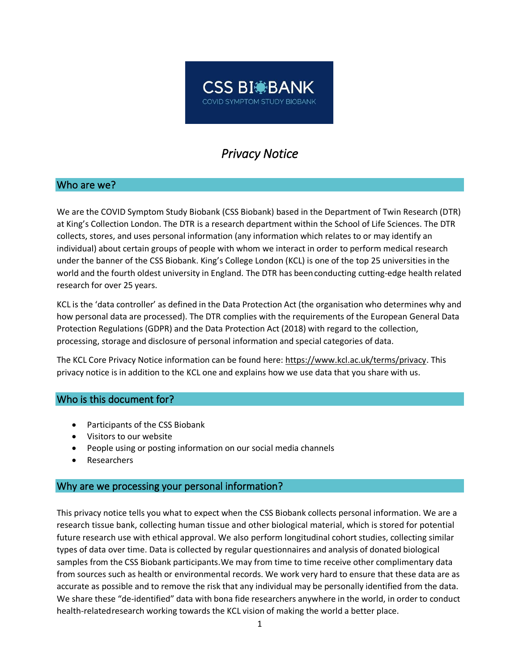# **CSS BI BANK** COVID SYMPTOM STUDY BIOBANK

# *Privacy Notice*

### Who are we?

We are the COVID Symptom Study Biobank (CSS Biobank) based in the Department of Twin Research (DTR) at King's Collection London. The DTR is a research department within the School of Life Sciences. The DTR collects, stores, and uses personal information (any information which relates to or may identify an individual) about certain groups of people with whom we interact in order to perform medical research under the banner of the CSS Biobank. King's College London (KCL) is one of the top 25 universities in the world and the fourth oldest university in England. The DTR has been conducting cutting-edge health related research for over 25 years.

KCL is the 'data controller' as defined in the Data Protection Act (the organisation who determines why and how personal data are processed). The DTR complies with the requirements of the European General Data Protection Regulations (GDPR) and the Data Protection Act (2018) with regard to the collection, processing, storage and disclosure of personal information and special categories of data.

The KCL Core Privacy Notice information can be found here: [https://www.kcl.ac.uk/terms/privacy.](https://www.kcl.ac.uk/terms/privacy) This privacy notice is in addition to the KCL one and explains how we use data that you share with us.

#### Who is this document for?

- Participants of the CSS Biobank
- Visitors to our website
- People using or posting information on our social media channels
- **Researchers**

#### Why are we processing your personal information?

This privacy notice tells you what to expect when the CSS Biobank collects personal information. We are a research tissue bank, collecting human tissue and other biological material, which is stored for potential future research use with ethical approval. We also perform longitudinal cohort studies, collecting similar types of data over time. Data is collected by regular questionnaires and analysis of donated biological samples from the CSS Biobank participants.We may from time to time receive other complimentary data from sources such as health or environmental records. We work very hard to ensure that these data are as accurate as possible and to remove the risk that any individual may be personally identified from the data. We share these "de-identified" data with bona fide researchers anywhere in the world, in order to conduct health-related research working towards the KCL vision of making the world a better place.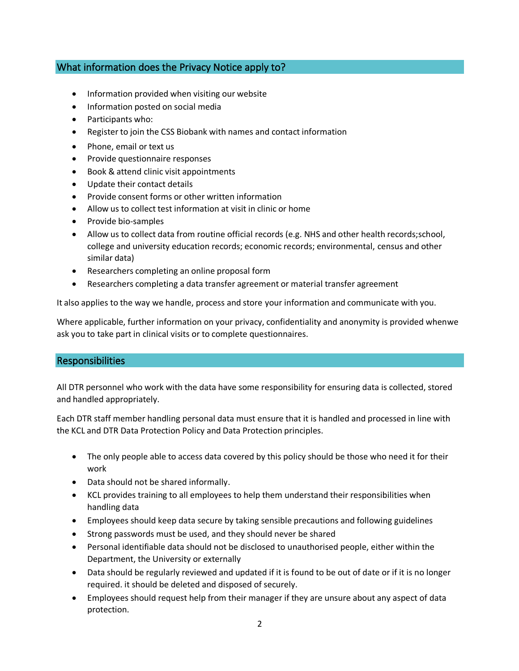# What information does the Privacy Notice apply to?

- Information provided when visiting our website
- Information posted on social media
- Participants who:
- Register to join the CSS Biobank with names and contact information
- Phone, email or text us
- Provide questionnaire responses
- Book & attend clinic visit appointments
- Update their contact details
- Provide consent forms or other written information
- Allow us to collect test information at visit in clinic or home
- Provide bio-samples
- Allow us to collect data from routine official records (e.g. NHS and other health records;school, college and university education records; economic records; environmental, census and other similar data)
- Researchers completing an online proposal form
- Researchers completing a data transfer agreement or material transfer agreement

It also applies to the way we handle, process and store your information and communicate with you.

Where applicable, further information on your privacy, confidentiality and anonymity is provided whenwe ask you to take part in clinical visits or to complete questionnaires.

# **Responsibilities**

All DTR personnel who work with the data have some responsibility for ensuring data is collected, stored and handled appropriately.

Each DTR staff member handling personal data must ensure that it is handled and processed in line with the KCL and DTR Data Protection Policy and Data Protection principles.

- The only people able to access data covered by this policy should be those who need it for their work
- Data should not be shared informally.
- KCL provides training to all employees to help them understand their responsibilities when handling data
- Employees should keep data secure by taking sensible precautions and following guidelines
- Strong passwords must be used, and they should never be shared
- Personal identifiable data should not be disclosed to unauthorised people, either within the Department, the University or externally
- Data should be regularly reviewed and updated if it is found to be out of date or if it is no longer required. it should be deleted and disposed of securely.
- Employees should request help from their manager if they are unsure about any aspect of data protection.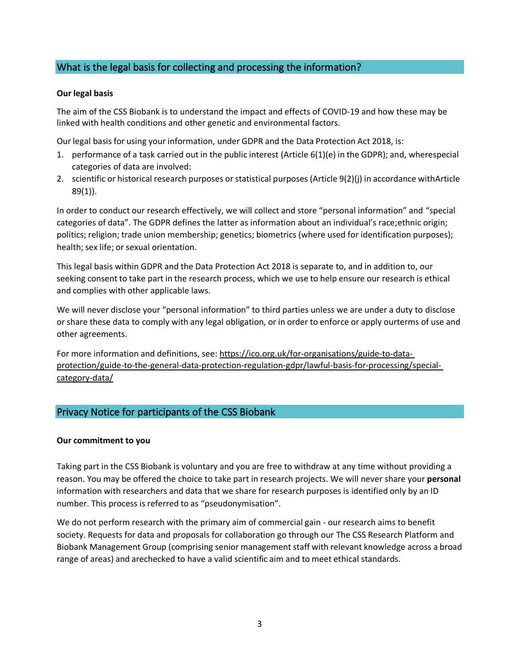# What is the legal basis for collecting and processing the information?

#### **Our legal basis**

The aim of the CSS Biobank is to understand the impact and effects of COVID-19 and how these may be linked with health conditions and other genetic and environmental factors.

Our legal basis for using your information, under GDPR and the Data Protection Act 2018, is:

- 1. performance of a task carried out in the public interest (Article 6(1)(e) in the GDPR); and, wherespecial categories of data are involved:
- 2. scientific or historical research purposes orstatistical purposes (Article 9(2)(j) in accordance withArticle 89(1)).

In order to conduct our research effectively, we will collect and store "personal information" and "special categories of data". The GDPR defines the latter as information about an individual's race;ethnic origin; politics; religion; trade union membership; genetics; biometrics (where used for identification purposes); health; sex life; or sexual orientation.

This legal basis within GDPR and the Data Protection Act 2018 is separate to, and in addition to, our seeking consent to take part in the research process, which we use to help ensure our research is ethical and complies with other applicable laws.

We will never disclose your "personal information" to third parties unless we are under a duty to disclose orshare these data to comply with any legal obligation, or in order to enforce or apply ourterms of use and other agreements.

For more information and definitions, see: [https://ico.org.uk/for-organisations/guide-to-data](https://ico.org.uk/for-organisations/guide-to-data-protection/guide-to-the-general-data-protection-regulation-gdpr/lawful-basis-for-processing/special-category-data/)[protection/guide-to-the-general-data-protection-regulation-gdpr/lawful-basis-for-processing/special](https://ico.org.uk/for-organisations/guide-to-data-protection/guide-to-the-general-data-protection-regulation-gdpr/lawful-basis-for-processing/special-category-data/)[category-data/](https://ico.org.uk/for-organisations/guide-to-data-protection/guide-to-the-general-data-protection-regulation-gdpr/lawful-basis-for-processing/special-category-data/)

# Privacy Notice for participants of the CSS Biobank

#### **Our commitment to you**

Taking part in the CSS Biobank is voluntary and you are free to withdraw at any time without providing a reason. You may be offered the choice to take part in research projects. We will never share your **personal**  information with researchers and data that we share for research purposes is identified only by an ID number. This process is referred to as "pseudonymisation".

We do not perform research with the primary aim of commercial gain - our research aims to benefit society. Requests for data and proposals for collaboration go through our The CSS Research Platform and Biobank Management Group (comprising senior managementstaff with relevant knowledge across a broad range of areas) and arechecked to have a valid scientific aim and to meet ethical standards.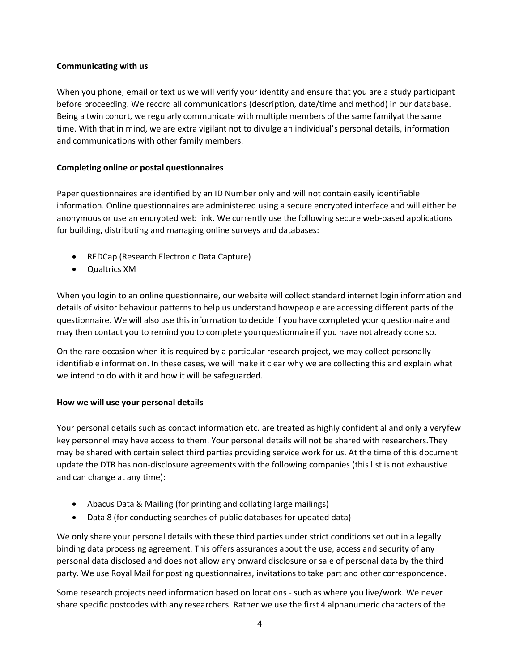#### **Communicating with us**

When you phone, email or text us we will verify your identity and ensure that you are a study participant before proceeding. We record all communications (description, date/time and method) in our database. Being a twin cohort, we regularly communicate with multiple members of the same familyat the same time. With that in mind, we are extra vigilant not to divulge an individual's personal details, information and communications with other family members.

#### **Completing online or postal questionnaires**

Paper questionnaires are identified by an ID Number only and will not contain easily identifiable information. Online questionnaires are administered using a secure encrypted interface and will either be anonymous or use an encrypted web link. We currently use the following secure web-based applications for building, distributing and managing online surveys and databases:

- REDCap (Research Electronic Data Capture)
- Qualtrics XM

When you login to an online questionnaire, our website will collect standard internet login information and details of visitor behaviour patterns to help us understand howpeople are accessing different parts of the questionnaire. We will also use this information to decide if you have completed your questionnaire and may then contact you to remind you to complete yourquestionnaire if you have not already done so.

On the rare occasion when it is required by a particular research project, we may collect personally identifiable information. In these cases, we will make it clear why we are collecting this and explain what we intend to do with it and how it will be safeguarded.

#### **How we will use your personal details**

Your personal details such as contact information etc. are treated as highly confidential and only a veryfew key personnel may have access to them. Your personal details will not be shared with researchers.They may be shared with certain select third parties providing service work for us. At the time of this document update the DTR has non-disclosure agreements with the following companies (this list is not exhaustive and can change at any time):

- Abacus Data & Mailing (for printing and collating large mailings)
- Data 8 (for conducting searches of public databases for updated data)

We only share your personal details with these third parties under strict conditions set out in a legally binding data processing agreement. This offers assurances about the use, access and security of any personal data disclosed and does not allow any onward disclosure or sale of personal data by the third party. We use Royal Mail for posting questionnaires, invitations to take part and other correspondence.

Some research projects need information based on locations - such as where you live/work. We never share specific postcodes with any researchers. Rather we use the first 4 alphanumeric characters of the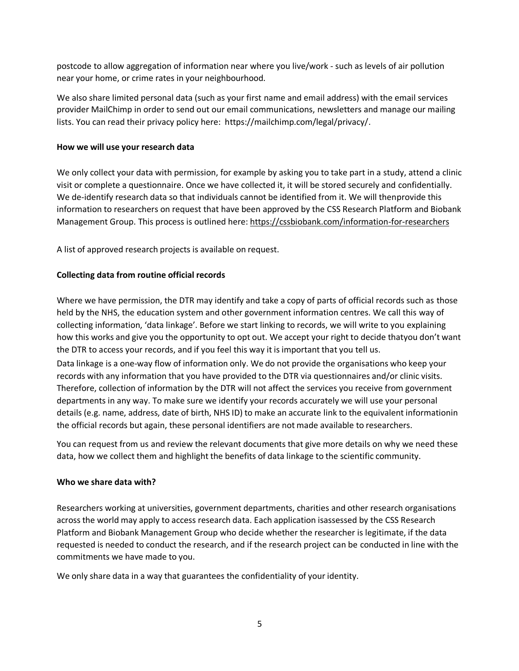postcode to allow aggregation of information near where you live/work - such as levels of air pollution near your home, or crime rates in your neighbourhood.

We also share limited personal data (such as your first name and email address) with the email services provider MailChimp in order to send out our email communications, newsletters and manage our mailing lists. You can read their privacy policy here: https://mailchimp.com/legal/privacy/.

#### **How we will use your research data**

We only collect your data with permission, for example by asking you to take part in a study, attend a clinic visit or complete a questionnaire. Once we have collected it, it will be stored securely and confidentially. We de-identify research data so that individuals cannot be identified from it. We will thenprovide this information to researchers on request that have been approved by the CSS Research Platform and Biobank Management Group. This process is outlined here: <https://cssbiobank.com/information-for-researchers>

A list of approved research projects is available on request.

#### **Collecting data from routine official records**

Where we have permission, the DTR may identify and take a copy of parts of official records such as those held by the NHS, the education system and other government information centres. We call this way of collecting information, 'data linkage'. Before we start linking to records, we will write to you explaining how this works and give you the opportunity to opt out. We accept your right to decide thatyou don't want the DTR to access your records, and if you feel this way it is important that you tell us. Data linkage is a one-way flow of information only. We do not provide the organisations who keep your records with any information that you have provided to the DTR via questionnaires and/or clinic visits. Therefore, collection of information by the DTR will not affect the services you receive from government departments in any way. To make sure we identify your records accurately we will use your personal

details (e.g. name, address, date of birth, NHS ID) to make an accurate link to the equivalent informationin the official records but again, these personal identifiers are not made available to researchers.

You can request from us and review the relevant documents that give more details on why we need these data, how we collect them and highlight the benefits of data linkage to the scientific community.

#### **Who we share data with?**

Researchers working at universities, government departments, charities and other research organisations across the world may apply to access research data. Each application isassessed by the CSS Research Platform and Biobank Management Group who decide whether the researcher is legitimate, if the data requested is needed to conduct the research, and if the research project can be conducted in line with the commitments we have made to you.

We only share data in a way that guarantees the confidentiality of your identity.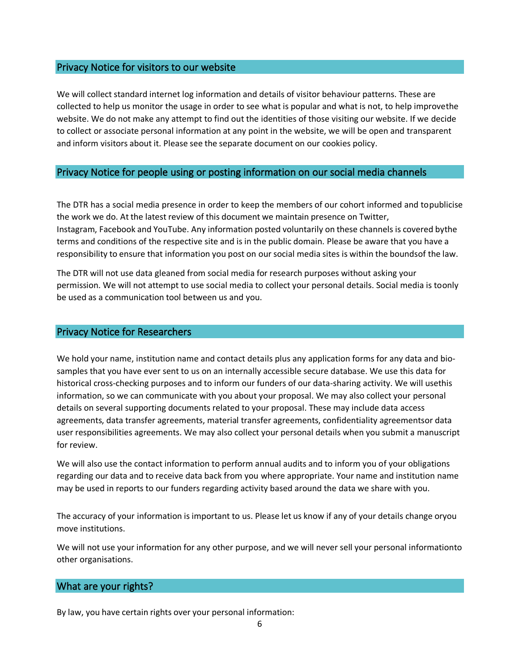#### Privacy Notice for visitors to our website

We will collect standard internet log information and details of visitor behaviour patterns. These are collected to help us monitor the usage in order to see what is popular and what is not, to help improvethe website. We do not make any attempt to find out the identities of those visiting our website. If we decide to collect or associate personal information at any point in the website, we will be open and transparent and inform visitors about it. Please see the separate document on our cookies policy.

#### Privacy Notice for people using or posting information on our social media channels

The DTR has a social media presence in order to keep the members of our cohort informed and topublicise the work we do. At the latest review of this document we maintain presence on Twitter, Instagram, Facebook and YouTube. Any information posted voluntarily on these channels is covered bythe terms and conditions of the respective site and is in the public domain. Please be aware that you have a responsibility to ensure that information you post on our social media sites is within the boundsof the law.

The DTR will not use data gleaned from social media for research purposes without asking your permission. We will not attempt to use social media to collect your personal details. Social media is toonly be used as a communication tool between us and you.

#### Privacy Notice for Researchers

We hold your name, institution name and contact details plus any application forms for any data and biosamples that you have ever sent to us on an internally accessible secure database. We use this data for historical cross-checking purposes and to inform our funders of our data-sharing activity. We will usethis information, so we can communicate with you about your proposal. We may also collect your personal details on several supporting documents related to your proposal. These may include data access agreements, data transfer agreements, material transfer agreements, confidentiality agreementsor data user responsibilities agreements. We may also collect your personal details when you submit a manuscript for review.

We will also use the contact information to perform annual audits and to inform you of your obligations regarding our data and to receive data back from you where appropriate. Your name and institution name may be used in reports to our funders regarding activity based around the data we share with you.

The accuracy of your information is important to us. Please let us know if any of your details change oryou move institutions.

We will not use your information for any other purpose, and we will never sell your personal informationto other organisations.

#### What are your rights?

By law, you have certain rights over your personal information: